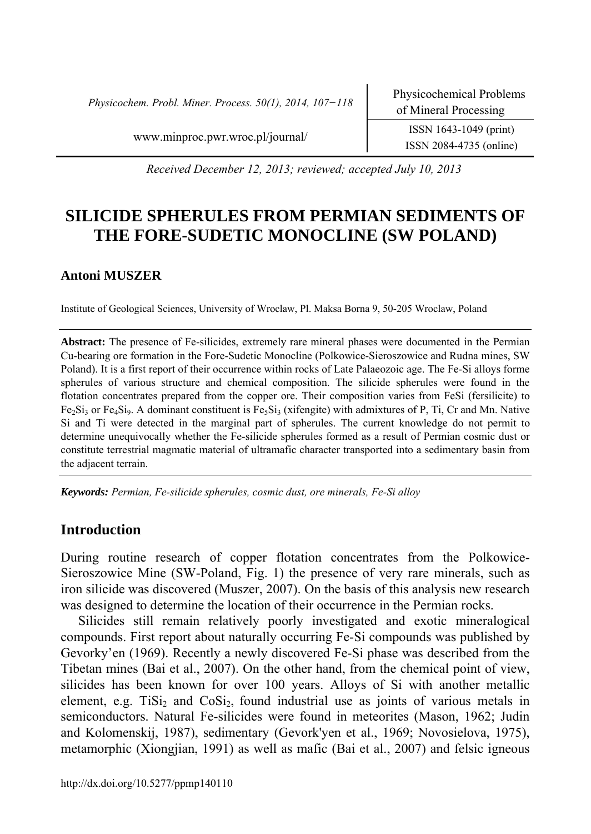*Physicochem. Probl. Miner. Process. 50(1), 2014, 107−118* Physicochemical Problems

www.minproc.pwr.wroc.pl/journal/ ISSN 1643-1049 (print)

ISSN 2084-4735 (online)

*Received December 12, 2013; reviewed; accepted July 10, 2013* 

# **SILICIDE SPHERULES FROM PERMIAN SEDIMENTS OF THE FORE-SUDETIC MONOCLINE (SW POLAND)**

## **Antoni MUSZER**

Institute of Geological Sciences, University of Wroclaw, Pl. Maksa Borna 9, 50-205 Wroclaw, Poland

**Abstract:** The presence of Fe-silicides, extremely rare mineral phases were documented in the Permian Cu-bearing ore formation in the Fore-Sudetic Monocline (Polkowice-Sieroszowice and Rudna mines, SW Poland). It is a first report of their occurrence within rocks of Late Palaeozoic age. The Fe-Si alloys forme spherules of various structure and chemical composition. The silicide spherules were found in the flotation concentrates prepared from the copper ore. Their composition varies from FeSi (fersilicite) to  $Fe<sub>2</sub>Si<sub>3</sub>$  or Fe<sub>4</sub>Si<sub>9</sub>. A dominant constituent is Fe<sub>5</sub>Si<sub>3</sub> (xifengite) with admixtures of P, Ti, Cr and Mn. Native Si and Ti were detected in the marginal part of spherules. The current knowledge do not permit to determine unequivocally whether the Fe-silicide spherules formed as a result of Permian cosmic dust or constitute terrestrial magmatic material of ultramafic character transported into a sedimentary basin from the adjacent terrain.

*Keywords: Permian, Fe-silicide spherules, cosmic dust, ore minerals, Fe-Si alloy*

## **Introduction**

During routine research of copper flotation concentrates from the Polkowice-Sieroszowice Mine (SW-Poland, Fig. 1) the presence of very rare minerals, such as iron silicide was discovered (Muszer, 2007). On the basis of this analysis new research was designed to determine the location of their occurrence in the Permian rocks.

Silicides still remain relatively poorly investigated and exotic mineralogical compounds. First report about naturally occurring Fe-Si compounds was published by Gevorky'en (1969). Recently a newly discovered Fe-Si phase was described from the Tibetan mines (Bai et al., 2007). On the other hand, from the chemical point of view, silicides has been known for over 100 years. Alloys of Si with another metallic element, e.g. TiSi<sub>2</sub> and CoSi<sub>2</sub>, found industrial use as joints of various metals in semiconductors. Natural Fe-silicides were found in meteorites (Mason, 1962; Judin and Kolomenskij, 1987), sedimentary (Gevork'yen et al., 1969; Novosielova, 1975), metamorphic (Xiongjian, 1991) as well as mafic (Bai et al., 2007) and felsic igneous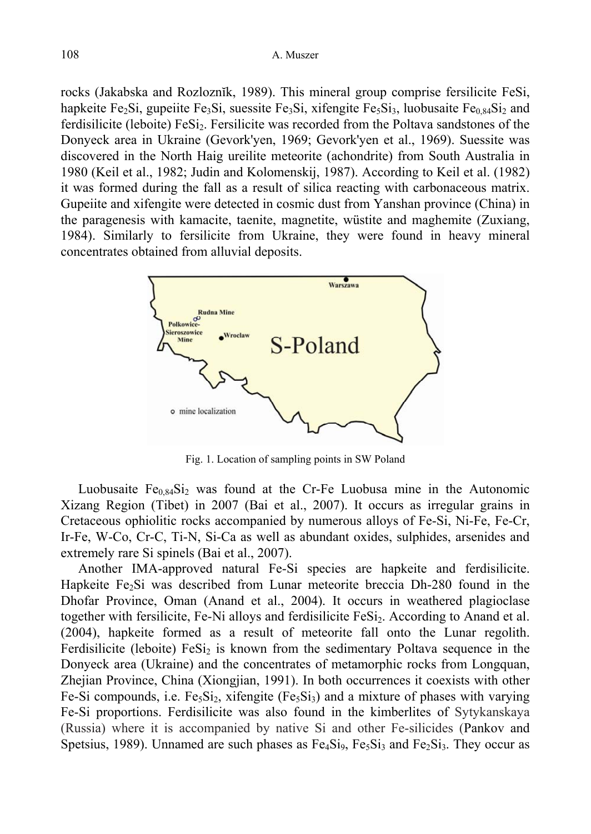rocks (Jakabska and Rozloznĭk, 1989). This mineral group comprise fersilicite FeSi, hapkeite Fe<sub>2</sub>Si, gupeiite Fe<sub>3</sub>Si, suessite Fe<sub>3</sub>Si, xifengite Fe<sub>5</sub>Si<sub>3</sub>, luobusaite Fe<sub>084</sub>Si<sub>2</sub> and ferdisilicite (leboite) FeSi<sub>2</sub>. Fersilicite was recorded from the Poltava sandstones of the Donyeck area in Ukraine (Gevork'yen, 1969; Gevork'yen et al., 1969). Suessite was discovered in the North Haig ureilite meteorite (achondrite) from South Australia in 1980 (Keil et al., 1982; Judin and Kolomenskij, 1987). According to Keil et al. (1982) it was formed during the fall as a result of silica reacting with carbonaceous matrix. Gupeiite and xifengite were detected in cosmic dust from Yanshan province (China) in the paragenesis with kamacite, taenite, magnetite, wüstite and maghemite (Zuxiang, 1984). Similarly to fersilicite from Ukraine, they were found in heavy mineral concentrates obtained from alluvial deposits.



Fig. 1. Location of sampling points in SW Poland

Luobusaite  $Fe<sub>0.84</sub>Si<sub>2</sub>$  was found at the Cr-Fe Luobusa mine in the Autonomic Xizang Region (Tibet) in 2007 (Bai et al., 2007). It occurs as irregular grains in Cretaceous ophiolitic rocks accompanied by numerous alloys of Fe-Si, Ni-Fe, Fe-Cr, Ir-Fe, W-Co, Cr-C, Ti-N, Si-Ca as well as abundant oxides, sulphides, arsenides and extremely rare Si spinels (Bai et al., 2007).

Another IMA-approved natural Fe-Si species are hapkeite and ferdisilicite. Hapkeite Fe<sub>2</sub>Si was described from Lunar meteorite breccia Dh-280 found in the Dhofar Province, Oman (Anand et al., 2004). It occurs in weathered plagioclase together with fersilicite, Fe-Ni alloys and ferdisilicite FeSi<sub>2</sub>. According to Anand et al. (2004), hapkeite formed as a result of meteorite fall onto the Lunar regolith. Ferdisilicite (leboite)  $FeSi<sub>2</sub>$  is known from the sedimentary Poltava sequence in the Donyeck area (Ukraine) and the concentrates of metamorphic rocks from Longquan, Zhejian Province, China (Xiongjian, 1991). In both occurrences it coexists with other Fe-Si compounds, i.e.  $Fe<sub>5</sub>Si<sub>2</sub>$ , xifengite (Fe<sub>5</sub>Si<sub>3</sub>) and a mixture of phases with varying Fe-Si proportions. Ferdisilicite was also found in the kimberlites of Sytykanskaya (Russia) where it is accompanied by native Si and other Fe-silicides (Pankov and Spetsius, 1989). Unnamed are such phases as  $Fe<sub>4</sub>Si<sub>9</sub>$ ,  $Fe<sub>5</sub>Si<sub>3</sub>$  and  $Fe<sub>2</sub>Si<sub>3</sub>$ . They occur as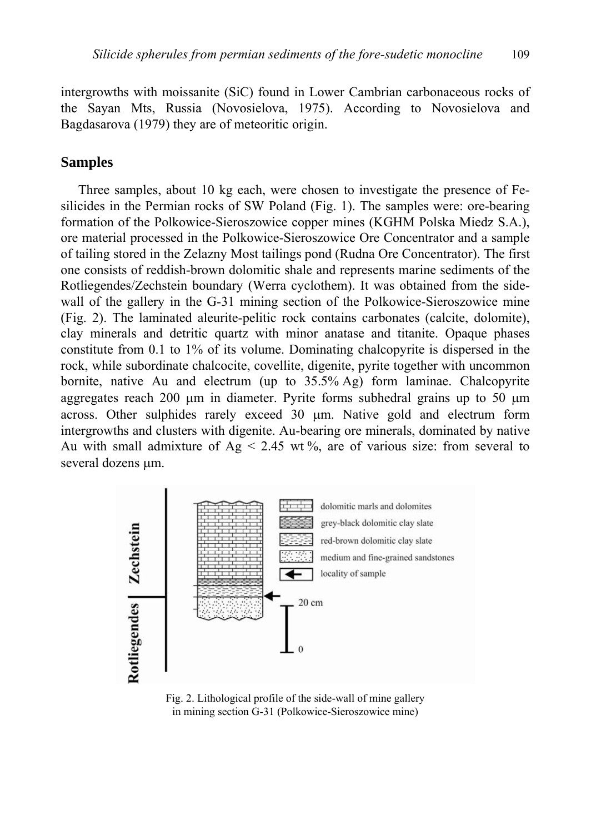intergrowths with moissanite (SiC) found in Lower Cambrian carbonaceous rocks of the Sayan Mts, Russia (Novosielova, 1975). According to Novosielova and Bagdasarova (1979) they are of meteoritic origin.

#### **Samples**

Three samples, about 10 kg each, were chosen to investigate the presence of Fesilicides in the Permian rocks of SW Poland (Fig. 1). The samples were: ore-bearing formation of the Polkowice-Sieroszowice copper mines (KGHM Polska Miedz S.A.), ore material processed in the Polkowice-Sieroszowice Ore Concentrator and a sample of tailing stored in the Zelazny Most tailings pond (Rudna Ore Concentrator). The first one consists of reddish-brown dolomitic shale and represents marine sediments of the Rotliegendes/Zechstein boundary (Werra cyclothem). It was obtained from the sidewall of the gallery in the G-31 mining section of the Polkowice-Sieroszowice mine (Fig. 2). The laminated aleurite-pelitic rock contains carbonates (calcite, dolomite), clay minerals and detritic quartz with minor anatase and titanite. Opaque phases constitute from 0.1 to 1% of its volume. Dominating chalcopyrite is dispersed in the rock, while subordinate chalcocite, covellite, digenite, pyrite together with uncommon bornite, native Au and electrum (up to 35.5% Ag) form laminae. Chalcopyrite aggregates reach 200  $\mu$ m in diameter. Pyrite forms subhedral grains up to 50  $\mu$ m across. Other sulphides rarely exceed 30 µm. Native gold and electrum form intergrowths and clusters with digenite. Au-bearing ore minerals, dominated by native Au with small admixture of  $Ag < 2.45$  wt%, are of various size: from several to several dozens  $\mu$ m.



Fig. 2. Lithological profile of the side-wall of mine gallery in mining section G-31 (Polkowice-Sieroszowice mine)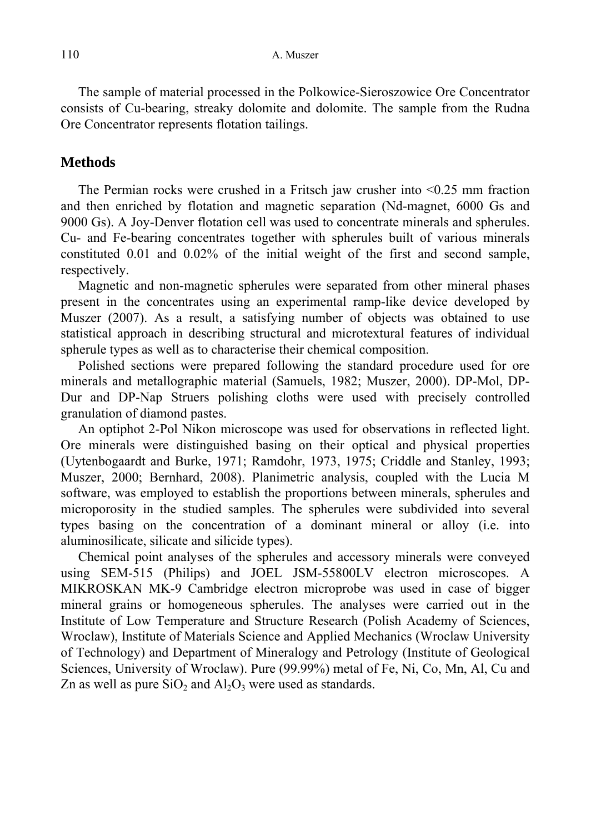The sample of material processed in the Polkowice-Sieroszowice Ore Concentrator consists of Cu-bearing, streaky dolomite and dolomite. The sample from the Rudna Ore Concentrator represents flotation tailings.

## **Methods**

The Permian rocks were crushed in a Fritsch jaw crusher into <0.25 mm fraction and then enriched by flotation and magnetic separation (Nd-magnet, 6000 Gs and 9000 Gs). A Joy-Denver flotation cell was used to concentrate minerals and spherules. Cu- and Fe-bearing concentrates together with spherules built of various minerals constituted 0.01 and 0.02% of the initial weight of the first and second sample, respectively.

Magnetic and non-magnetic spherules were separated from other mineral phases present in the concentrates using an experimental ramp-like device developed by Muszer (2007). As a result, a satisfying number of objects was obtained to use statistical approach in describing structural and microtextural features of individual spherule types as well as to characterise their chemical composition.

Polished sections were prepared following the standard procedure used for ore minerals and metallographic material (Samuels, 1982; Muszer, 2000). DP-Mol, DP-Dur and DP-Nap Struers polishing cloths were used with precisely controlled granulation of diamond pastes.

An optiphot 2-Pol Nikon microscope was used for observations in reflected light. Ore minerals were distinguished basing on their optical and physical properties (Uytenbogaardt and Burke, 1971; Ramdohr, 1973, 1975; Criddle and Stanley, 1993; Muszer, 2000; Bernhard, 2008). Planimetric analysis, coupled with the Lucia M software, was employed to establish the proportions between minerals, spherules and microporosity in the studied samples. The spherules were subdivided into several types basing on the concentration of a dominant mineral or alloy (i.e. into aluminosilicate, silicate and silicide types).

Chemical point analyses of the spherules and accessory minerals were conveyed using SEM-515 (Philips) and JOEL JSM-55800LV electron microscopes. A MIKROSKAN MK-9 Cambridge electron microprobe was used in case of bigger mineral grains or homogeneous spherules. The analyses were carried out in the Institute of Low Temperature and Structure Research (Polish Academy of Sciences, Wroclaw), Institute of Materials Science and Applied Mechanics (Wroclaw University of Technology) and Department of Mineralogy and Petrology (Institute of Geological Sciences, University of Wroclaw). Pure (99.99%) metal of Fe, Ni, Co, Mn, Al, Cu and Zn as well as pure  $SiO<sub>2</sub>$  and  $Al<sub>2</sub>O<sub>3</sub>$  were used as standards.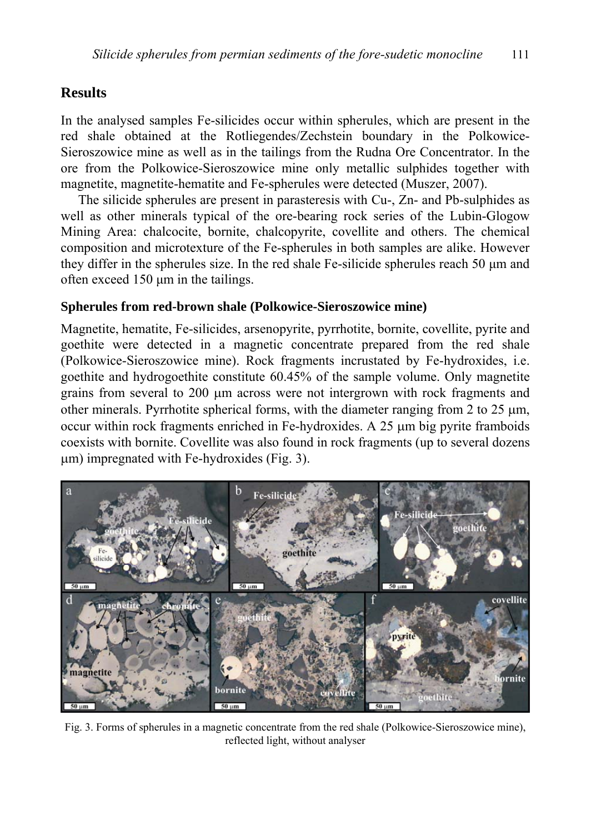## **Results**

In the analysed samples Fe-silicides occur within spherules, which are present in the red shale obtained at the Rotliegendes/Zechstein boundary in the Polkowice-Sieroszowice mine as well as in the tailings from the Rudna Ore Concentrator. In the ore from the Polkowice-Sieroszowice mine only metallic sulphides together with magnetite, magnetite-hematite and Fe-spherules were detected (Muszer, 2007).

The silicide spherules are present in parasteresis with Cu-, Zn- and Pb-sulphides as well as other minerals typical of the ore-bearing rock series of the Lubin-Glogow Mining Area: chalcocite, bornite, chalcopyrite, covellite and others. The chemical composition and microtexture of the Fe-spherules in both samples are alike. However they differ in the spherules size. In the red shale Fe-silicide spherules reach 50 µm and often exceed 150 µm in the tailings.

#### **Spherules from red-brown shale (Polkowice-Sieroszowice mine)**

Magnetite, hematite, Fe-silicides, arsenopyrite, pyrrhotite, bornite, covellite, pyrite and goethite were detected in a magnetic concentrate prepared from the red shale (Polkowice-Sieroszowice mine). Rock fragments incrustated by Fe-hydroxides, i.e. goethite and hydrogoethite constitute 60.45% of the sample volume. Only magnetite grains from several to 200 µm across were not intergrown with rock fragments and other minerals. Pyrrhotite spherical forms, with the diameter ranging from 2 to 25  $\mu$ m, occur within rock fragments enriched in Fe-hydroxides. A  $25 \mu m$  big pyrite framboids coexists with bornite. Covellite was also found in rock fragments (up to several dozens µm) impregnated with Fe-hydroxides (Fig. 3).



Fig. 3. Forms of spherules in a magnetic concentrate from the red shale (Polkowice-Sieroszowice mine), reflected light, without analyser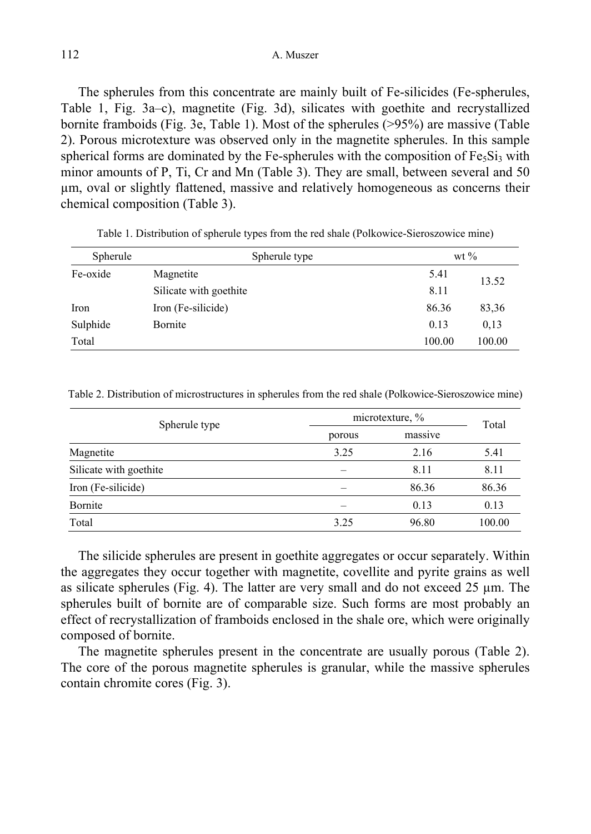The spherules from this concentrate are mainly built of Fe-silicides (Fe-spherules, Table 1, Fig. 3a–c), magnetite (Fig. 3d), silicates with goethite and recrystallized bornite framboids (Fig. 3e, Table 1). Most of the spherules (>95%) are massive (Table 2). Porous microtexture was observed only in the magnetite spherules. In this sample spherical forms are dominated by the Fe-spherules with the composition of  $Fe<sub>5</sub>Si<sub>3</sub>$  with minor amounts of P, Ti, Cr and Mn (Table 3). They are small, between several and 50 µm, oval or slightly flattened, massive and relatively homogeneous as concerns their chemical composition (Table 3).

| Spherule | Spherule type          |        | wt $\%$ |  |
|----------|------------------------|--------|---------|--|
| Fe-oxide | Magnetite              | 5.41   | 13.52   |  |
|          | Silicate with goethite | 8.11   |         |  |
| Iron     | Iron (Fe-silicide)     | 86.36  | 83,36   |  |
| Sulphide | Bornite                | 0.13   | 0.13    |  |
| Total    |                        | 100.00 | 100.00  |  |

Table 1. Distribution of spherule types from the red shale (Polkowice-Sieroszowice mine)

Table 2. Distribution of microstructures in spherules from the red shale (Polkowice-Sieroszowice mine)

| Spherule type          | microtexture, % | Total   |        |  |
|------------------------|-----------------|---------|--------|--|
|                        | porous          | massive |        |  |
| Magnetite              | 3.25            | 2.16    | 5.41   |  |
| Silicate with goethite |                 | 8.11    | 8.11   |  |
| Iron (Fe-silicide)     |                 | 86.36   | 86.36  |  |
| Bornite                |                 | 0.13    | 0.13   |  |
| Total                  | 3.25            | 96.80   | 100.00 |  |

The silicide spherules are present in goethite aggregates or occur separately. Within the aggregates they occur together with magnetite, covellite and pyrite grains as well as silicate spherules (Fig. 4). The latter are very small and do not exceed 25  $\mu$ m. The spherules built of bornite are of comparable size. Such forms are most probably an effect of recrystallization of framboids enclosed in the shale ore, which were originally composed of bornite.

The magnetite spherules present in the concentrate are usually porous (Table 2). The core of the porous magnetite spherules is granular, while the massive spherules contain chromite cores (Fig. 3).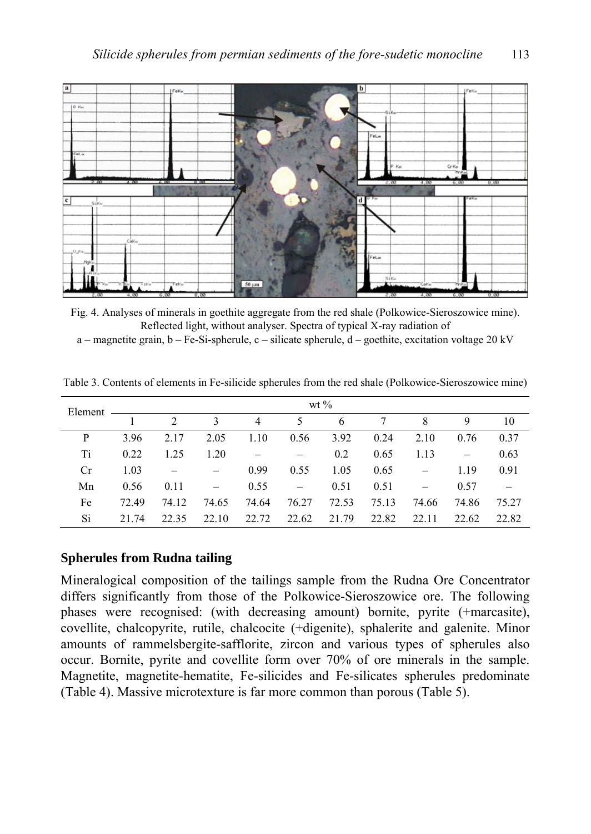

Fig. 4. Analyses of minerals in goethite aggregate from the red shale (Polkowice-Sieroszowice mine). Reflected light, without analyser. Spectra of typical X-ray radiation of  $a$  – magnetite grain,  $b$  – Fe-Si-spherule,  $c$  – silicate spherule,  $d$  – goethite, excitation voltage 20 kV

| Element | wt $\%$ |               |                   |                |       |       |       |       |                          |       |
|---------|---------|---------------|-------------------|----------------|-------|-------|-------|-------|--------------------------|-------|
|         |         | $\mathcal{D}$ | 3                 | $\overline{4}$ | 5     | 6     |       | 8     | 9                        | 10    |
| P       | 3.96    | 2.17          | 2.05              | 1.10           | 0.56  | 3.92  | 0.24  | 2.10  | 0.76                     | 0.37  |
| Ti      | 0.22    | 1.25          | 1.20              |                |       | 0.2   | 0.65  | 1.13  | $\overline{\phantom{m}}$ | 0.63  |
| Cr      | 1.03    |               |                   | 0.99           | 0.55  | 1.05  | 0.65  |       | 1.19                     | 0.91  |
| Mn      | 0.56    | 0.11          | $\qquad \qquad -$ | 0.55           |       | 0.51  | 0.51  |       | 0.57                     |       |
| Fe      | 72.49   | 74.12         | 74.65             | 74.64          | 76.27 | 72.53 | 75.13 | 74.66 | 74.86                    | 75.27 |
| Si      | 21.74   | 22.35         | 22.10             | 22.72          | 22.62 | 21.79 | 22.82 | 22.11 | 22.62                    | 22.82 |

Table 3. Contents of elements in Fe-silicide spherules from the red shale (Polkowice-Sieroszowice mine)

#### **Spherules from Rudna tailing**

Mineralogical composition of the tailings sample from the Rudna Ore Concentrator differs significantly from those of the Polkowice-Sieroszowice ore. The following phases were recognised: (with decreasing amount) bornite, pyrite (+marcasite), covellite, chalcopyrite, rutile, chalcocite (+digenite), sphalerite and galenite. Minor amounts of rammelsbergite-safflorite, zircon and various types of spherules also occur. Bornite, pyrite and covellite form over 70% of ore minerals in the sample. Magnetite, magnetite-hematite, Fe-silicides and Fe-silicates spherules predominate (Table 4). Massive microtexture is far more common than porous (Table 5).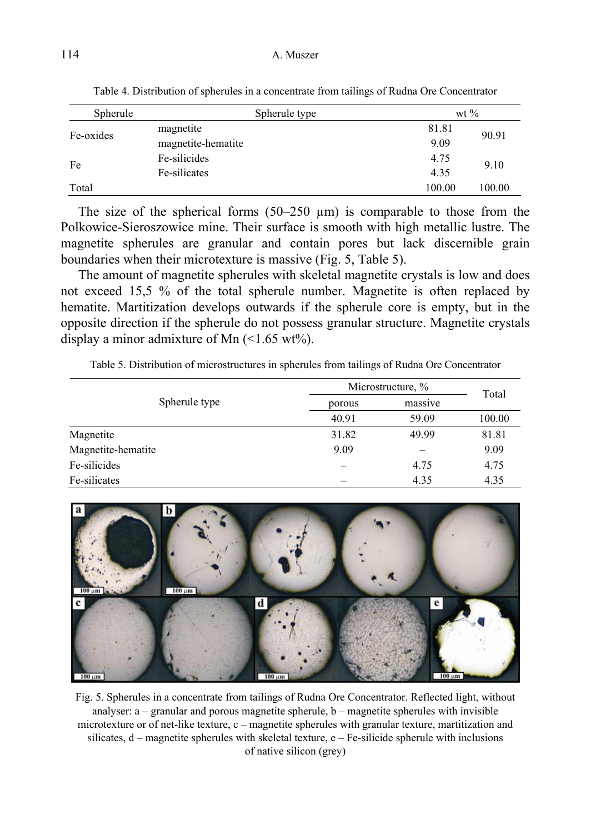| Spherule  | Spherule type      |        | wt $\%$ |  |
|-----------|--------------------|--------|---------|--|
| Fe-oxides | magnetite          | 81.81  | 90.91   |  |
|           | magnetite-hematite | 9.09   |         |  |
| Fe        | Fe-silicides       | 4.75   | 9.10    |  |
|           | Fe-silicates       | 4.35   |         |  |
| Total     |                    | 100.00 | 100.00  |  |

Table 4. Distribution of spherules in a concentrate from tailings of Rudna Ore Concentrator

The size of the spherical forms  $(50-250 \mu m)$  is comparable to those from the Polkowice-Sieroszowice mine. Their surface is smooth with high metallic lustre. The magnetite spherules are granular and contain pores but lack discernible grain boundaries when their microtexture is massive (Fig. 5, Table 5).

The amount of magnetite spherules with skeletal magnetite crystals is low and does not exceed 15,5 % of the total spherule number. Magnetite is often replaced by hematite. Martitization develops outwards if the spherule core is empty, but in the opposite direction if the spherule do not possess granular structure. Magnetite crystals display a minor admixture of Mn  $(\leq 1.65 \text{ wt\%})$ .

Table 5. Distribution of microstructures in spherules from tailings of Rudna Ore Concentrator

|                    | Microstructure, % | Total   |        |
|--------------------|-------------------|---------|--------|
| Spherule type      | porous            | massive |        |
|                    | 40.91             | 59.09   | 100.00 |
| Magnetite          | 31.82             | 49.99   | 81.81  |
| Magnetite-hematite | 9.09              |         | 9.09   |
| Fe-silicides       |                   | 4.75    | 4.75   |
| Fe-silicates       |                   | 4.35    | 4.35   |



Fig. 5. Spherules in a concentrate from tailings of Rudna Ore Concentrator. Reflected light, without analyser:  $a -$  granular and porous magnetite spherule,  $b -$  magnetite spherules with invisible microtexture or of net-like texture, c – magnetite spherules with granular texture, martitization and silicates, d – magnetite spherules with skeletal texture, e – Fe-silicide spherule with inclusions of native silicon (grey)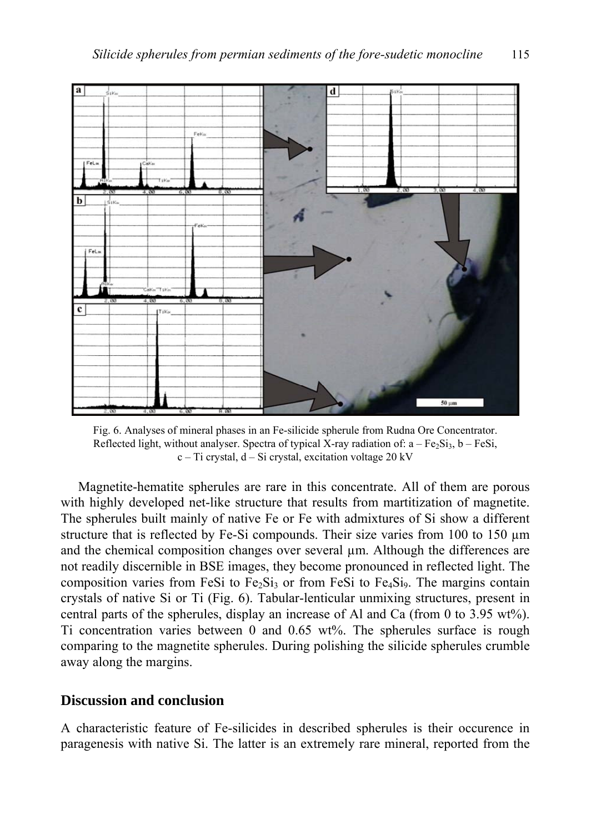

Fig. 6. Analyses of mineral phases in an Fe-silicide spherule from Rudna Ore Concentrator. Reflected light, without analyser. Spectra of typical X-ray radiation of:  $a - Fe<sub>2</sub>Si<sub>3</sub>$ ,  $b - FeSi$ ,  $c$  – Ti crystal,  $d$  – Si crystal, excitation voltage 20 kV

Magnetite-hematite spherules are rare in this concentrate. All of them are porous with highly developed net-like structure that results from martitization of magnetite. The spherules built mainly of native Fe or Fe with admixtures of Si show a different structure that is reflected by Fe-Si compounds. Their size varies from 100 to 150 µm and the chemical composition changes over several  $\mu$ m. Although the differences are not readily discernible in BSE images, they become pronounced in reflected light. The composition varies from FeSi to  $Fe<sub>2</sub>Si<sub>3</sub>$  or from FeSi to  $Fe<sub>4</sub>Si<sub>9</sub>$ . The margins contain crystals of native Si or Ti (Fig. 6). Tabular-lenticular unmixing structures, present in central parts of the spherules, display an increase of Al and Ca (from 0 to 3.95 wt%). Ti concentration varies between 0 and 0.65 wt%. The spherules surface is rough comparing to the magnetite spherules. During polishing the silicide spherules crumble away along the margins.

### **Discussion and conclusion**

A characteristic feature of Fe-silicides in described spherules is their occurence in paragenesis with native Si. The latter is an extremely rare mineral, reported from the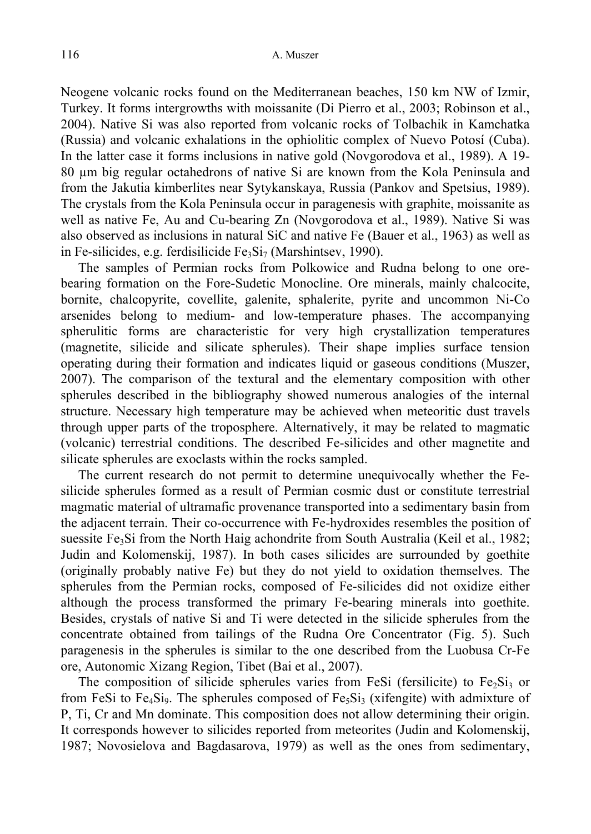Neogene volcanic rocks found on the Mediterranean beaches, 150 km NW of Izmir, Turkey. It forms intergrowths with moissanite (Di Pierro et al., 2003; Robinson et al., 2004). Native Si was also reported from volcanic rocks of Tolbachik in Kamchatka (Russia) and volcanic exhalations in the ophiolitic complex of Nuevo Potosí (Cuba). In the latter case it forms inclusions in native gold (Novgorodova et al., 1989). A 19- 80 µm big regular octahedrons of native Si are known from the Kola Peninsula and from the Jakutia kimberlites near Sytykanskaya, Russia (Pankov and Spetsius, 1989). The crystals from the Kola Peninsula occur in paragenesis with graphite, moissanite as well as native Fe, Au and Cu-bearing Zn (Novgorodova et al., 1989). Native Si was also observed as inclusions in natural SiC and native Fe (Bauer et al., 1963) as well as in Fe-silicides, e.g. ferdisilicide  $Fe<sub>3</sub>Si<sub>7</sub>$  (Marshintsev, 1990).

The samples of Permian rocks from Polkowice and Rudna belong to one orebearing formation on the Fore-Sudetic Monocline. Ore minerals, mainly chalcocite, bornite, chalcopyrite, covellite, galenite, sphalerite, pyrite and uncommon Ni-Co arsenides belong to medium- and low-temperature phases. The accompanying spherulitic forms are characteristic for very high crystallization temperatures (magnetite, silicide and silicate spherules). Their shape implies surface tension operating during their formation and indicates liquid or gaseous conditions (Muszer, 2007). The comparison of the textural and the elementary composition with other spherules described in the bibliography showed numerous analogies of the internal structure. Necessary high temperature may be achieved when meteoritic dust travels through upper parts of the troposphere. Alternatively, it may be related to magmatic (volcanic) terrestrial conditions. The described Fe-silicides and other magnetite and silicate spherules are exoclasts within the rocks sampled.

The current research do not permit to determine unequivocally whether the Fesilicide spherules formed as a result of Permian cosmic dust or constitute terrestrial magmatic material of ultramafic provenance transported into a sedimentary basin from the adjacent terrain. Their co-occurrence with Fe-hydroxides resembles the position of suessite  $Fe<sub>3</sub>Si$  from the North Haig achondrite from South Australia (Keil et al., 1982; Judin and Kolomenskij, 1987). In both cases silicides are surrounded by goethite (originally probably native Fe) but they do not yield to oxidation themselves. The spherules from the Permian rocks, composed of Fe-silicides did not oxidize either although the process transformed the primary Fe-bearing minerals into goethite. Besides, crystals of native Si and Ti were detected in the silicide spherules from the concentrate obtained from tailings of the Rudna Ore Concentrator (Fig. 5). Such paragenesis in the spherules is similar to the one described from the Luobusa Cr-Fe ore, Autonomic Xizang Region, Tibet (Bai et al., 2007).

The composition of silicide spherules varies from FeSi (fersilicite) to  $Fe<sub>2</sub>Si<sub>3</sub>$  or from FeSi to Fe<sub>4</sub>Si<sub>9</sub>. The spherules composed of Fe<sub>5</sub>Si<sub>3</sub> (xifengite) with admixture of P, Ti, Cr and Mn dominate. This composition does not allow determining their origin. It corresponds however to silicides reported from meteorites (Judin and Kolomenskij, 1987; Novosielova and Bagdasarova, 1979) as well as the ones from sedimentary,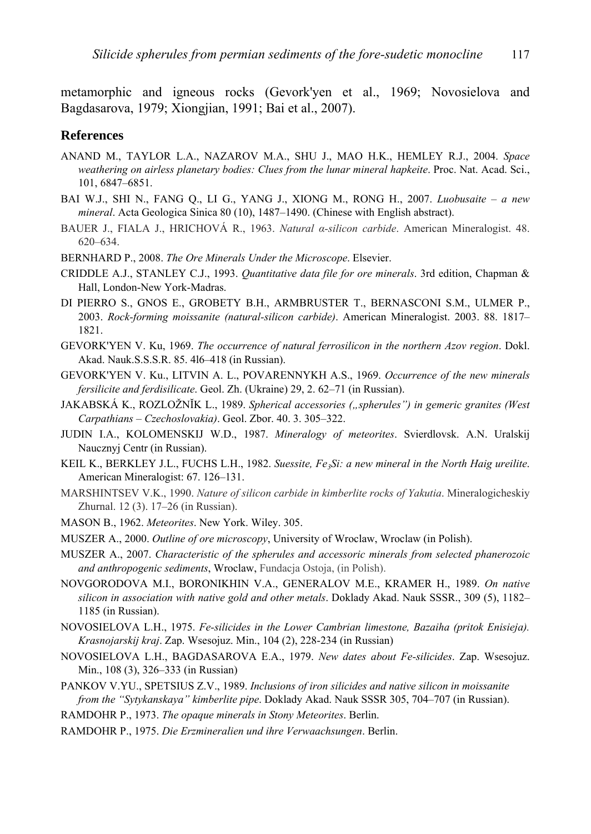metamorphic and igneous rocks (Gevork'yen et al., 1969; Novosielova and Bagdasarova, 1979; Xiongjian, 1991; Bai et al., 2007).

#### **References**

- ANAND M., TAYLOR L.A., NAZAROV M.A., SHU J., MAO H.K., HEMLEY R.J., 2004. *Space weathering on airless planetary bodies: Clues from the lunar mineral hapkeite*. Proc. Nat. Acad. Sci., 101, 6847–6851.
- BAI W.J., SHI N., FANG Q., LI G., YANG J., XIONG M., RONG H., 2007. *Luobusaite a new mineral*. Acta Geologica Sinica 80 (10), 1487–1490. (Chinese with English abstract).
- BAUER J., FIALA J., HRICHOVÁ R., 1963. *Natural α-silicon carbide*. American Mineralogist. 48. 620–634.
- BERNHARD P., 2008. *The Ore Minerals Under the Microscope*. Elsevier.
- CRIDDLE A.J., STANLEY C.J., 1993. *Quantitative data file for ore minerals*. 3rd edition, Chapman & Hall, London-New York-Madras.
- DI PIERRO S., GNOS E., GROBETY B.H., ARMBRUSTER T., BERNASCONI S.M., ULMER P., 2003. *Rock-forming moissanite (natural-silicon carbide)*. American Mineralogist. 2003. 88. 1817– 1821.
- GEVORK'YEN V. Ku, 1969. *The occurrence of natural ferrosilicon in the northern Azov region*. Dokl. Akad. Nauk.S.S.S.R. 85. 4l6–418 (in Russian).
- GEVORK'YEN V. Ku., LITVIN A. L., POVARENNYKH A.S., 1969. *Occurrence of the new minerals fersilicite and ferdisilicate*. Geol. Zh. (Ukraine) 29, 2. 62–71 (in Russian).
- JAKABSKÁ K., ROZLOŽNĬK L., 1989. *Spherical accessories ("spherules") in gemeric granites (West Carpathians – Czechoslovakia)*. Geol. Zbor. 40. 3. 305–322.
- JUDIN I.A., KOLOMENSKIJ W.D., 1987. *Mineralogy of meteorites*. Svierdlovsk. A.N. Uralskij Naucznyj Centr (in Russian).
- KEIL K., BERKLEY J.L., FUCHS L.H., 1982. *Suessite, Fe3Si: a new mineral in the North Haig ureilite*. American Mineralogist: 67. 126–131.
- MARSHINTSEV V.K., 1990. *Nature of silicon carbide in kimberlite rocks of Yakutia*. Mineralogicheskiy Zhurnal. 12 (3). 17–26 (in Russian).
- MASON B., 1962. *Meteorites*. New York. Wiley. 305.
- MUSZER A., 2000. *Outline of ore microscopy*, University of Wroclaw, Wroclaw (in Polish).
- MUSZER A., 2007. *Characteristic of the spherules and accessoric minerals from selected phanerozoic and anthropogenic sediments*, Wroclaw, Fundacja Ostoja, (in Polish).
- NOVGORODOVA M.I., BORONIKHIN V.A., GENERALOV M.E., KRAMER H., 1989. *On native silicon in association with native gold and other metals*. Doklady Akad. Nauk SSSR., 309 (5), 1182– 1185 (in Russian).
- NOVOSIELOVA L.H., 1975. *Fe-silicides in the Lower Cambrian limestone, Bazaiha (pritok Enisieja). Krasnojarskij kraj*. Zap. Wsesojuz. Min., 104 (2), 228-234 (in Russian)
- NOVOSIELOVA L.H., BAGDASAROVA E.A., 1979. *New dates about Fe-silicides*. Zap. Wsesojuz. Min., 108 (3), 326–333 (in Russian)
- PANKOV V.YU., SPETSIUS Z.V., 1989. *Inclusions of iron silicides and native silicon in moissanite from the "Sytykanskaya" kimberlite pipe*. Doklady Akad. Nauk SSSR 305, 704–707 (in Russian).
- RAMDOHR P., 1973. *The opaque minerals in Stony Meteorites*. Berlin.
- RAMDOHR P., 1975. *Die Erzmineralien und ihre Verwaachsungen*. Berlin.